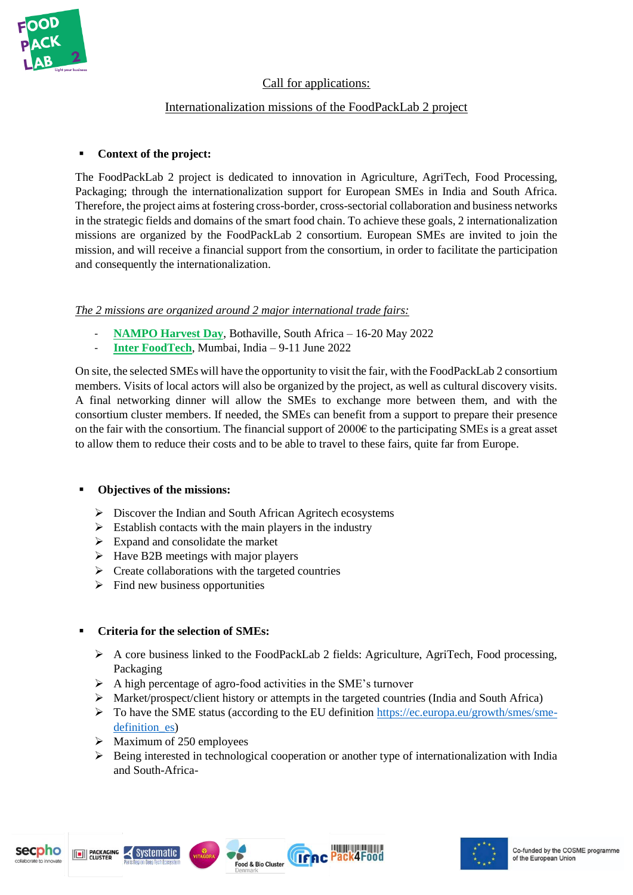

# Call for applications:

## Internationalization missions of the FoodPackLab 2 project

## ▪ **Context of the project:**

The FoodPackLab 2 project is dedicated to innovation in Agriculture, AgriTech, Food Processing, Packaging; through the internationalization support for European SMEs in India and South Africa. Therefore, the project aims at fostering cross-border, cross-sectorial collaboration and business networks in the strategic fields and domains of the smart food chain. To achieve these goals, 2 internationalization missions are organized by the FoodPackLab 2 consortium. European SMEs are invited to join the mission, and will receive a financial support from the consortium, in order to facilitate the participation and consequently the internationalization.

## *The 2 missions are organized around 2 major international trade fairs:*

- **[NAMPO Harvest Day](https://foodpacklab.eu/the-54th-edition-of-nampo-harvest-day-2022/)**, Bothaville, South Africa 16-20 May 2022
- **[Inter FoodTech](https://foodpacklab.eu/lets-go-to-inter-foodtech/)**, Mumbai, India 9-11 June 2022

On site, the selected SMEs will have the opportunity to visit the fair, with the FoodPackLab 2 consortium members. Visits of local actors will also be organized by the project, as well as cultural discovery visits. A final networking dinner will allow the SMEs to exchange more between them, and with the consortium cluster members. If needed, the SMEs can benefit from a support to prepare their presence on the fair with the consortium. The financial support of  $2000\epsilon$  to the participating SMEs is a great asset to allow them to reduce their costs and to be able to travel to these fairs, quite far from Europe.

## ▪ **Objectives of the missions:**

- ➢ Discover the Indian and South African Agritech ecosystems
- $\triangleright$  Establish contacts with the main players in the industry
- ➢ Expand and consolidate the market
- $\triangleright$  Have B2B meetings with major players
- $\triangleright$  Create collaborations with the targeted countries
- $\triangleright$  Find new business opportunities

## ▪ **Criteria for the selection of SMEs:**

- $\triangleright$  A core business linked to the FoodPackLab 2 fields: Agriculture, AgriTech, Food processing, Packaging
- ➢ A high percentage of agro-food activities in the SME's turnover
- ➢ Market/prospect/client history or attempts in the targeted countries (India and South Africa)
- ➢ To have the SME status (according to the EU definition [https://ec.europa.eu/growth/smes/sme](https://ec.europa.eu/growth/smes/sme-definition_es)definition es)
- $\triangleright$  Maximum of 250 employees

secpho

 $\triangleright$  Being interested in technological cooperation or another type of internationalization with India and South-Africa-